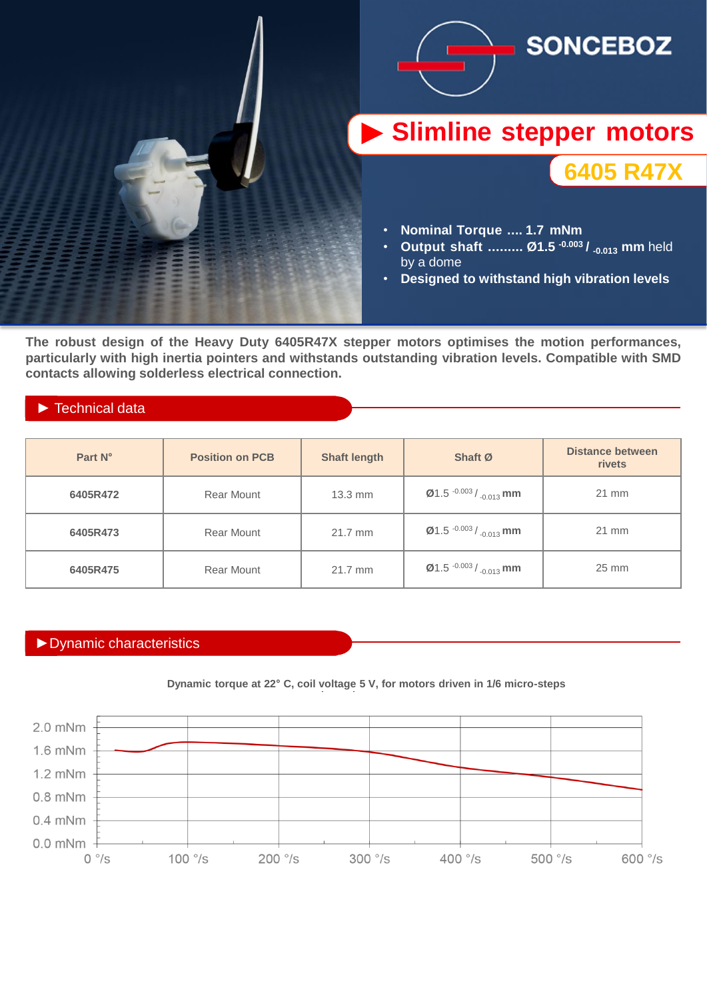

**The robust design of the Heavy Duty 6405R47X stepper motors optimises the motion performances, particularly with high inertia pointers and withstands outstanding vibration levels. Compatible with SMD contacts allowing solderless electrical connection.**

## ► Technical data

| Part N°  | <b>Position on PCB</b> | <b>Shaft length</b> | Shaft Ø                                                     | <b>Distance between</b><br>rivets |
|----------|------------------------|---------------------|-------------------------------------------------------------|-----------------------------------|
| 6405R472 | Rear Mount             | $13.3$ mm           | $\emptyset$ 1.5 $\cdot$ 0.003 / $\cdot$ <sub>0.013</sub> mm | $21$ mm                           |
| 6405R473 | Rear Mount             | 21.7 mm             | $\emptyset$ 1.5 $\cdot$ 0.003 / $\cdot$ <sub>0.013</sub> mm | $21$ mm                           |
| 6405R475 | Rear Mount             | 21.7 mm             | <b>Ø1.5</b> $-0.003 / 0.013$ mm                             | $25 \text{ mm}$                   |

## ►Dynamic characteristics



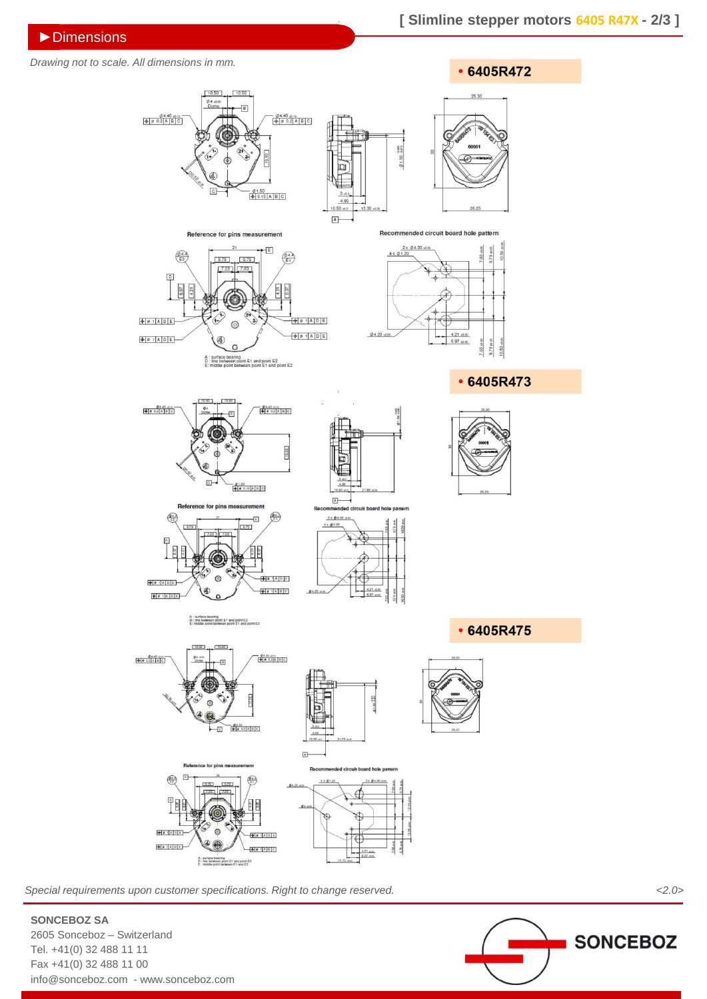## *Drawing not to scale. All dimensions in mm.*



*Special requirements upon customer specifications. Right to change reserved. <2.0>*



**SONCEBOZ SA**

2605 Sonceboz – Switzerland Tel. +41(0) 32 488 11 11 Fax +41(0) 32 488 11 00 info@sonceboz.com - www.sonceboz.com